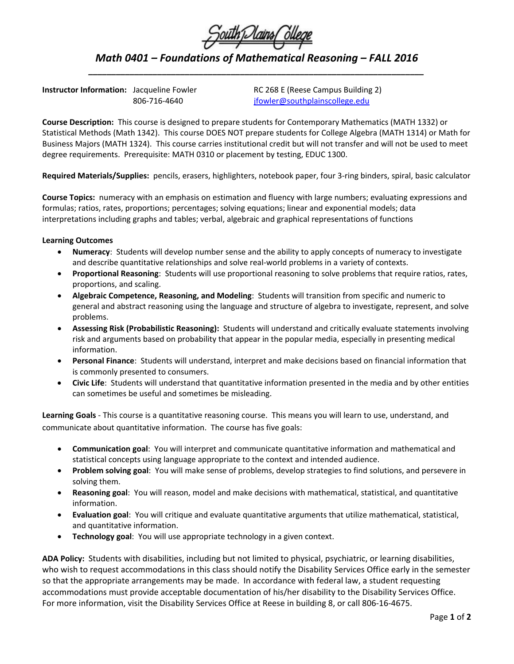| South Dains Ollege |  |  |
|--------------------|--|--|
|                    |  |  |

*Math 0401 – Foundations of Mathematical Reasoning – FALL 2016 \_\_\_\_\_\_\_\_\_\_\_\_\_\_\_\_\_\_\_\_\_\_\_\_\_\_\_\_\_\_\_\_\_\_\_\_\_\_\_\_\_\_\_\_\_\_\_\_\_\_\_\_\_\_\_\_\_\_\_\_\_\_\_\_\_\_\_\_\_\_\_\_\_*

**Instructor Information:** Jacqueline Fowler RC 268 E (Reese Campus Building 2)

806-716-4640 [jfowler@southplainscollege.edu](mailto:jfowler@southplainscollege.edu)

**Course Description:** This course is designed to prepare students for Contemporary Mathematics (MATH 1332) or Statistical Methods (Math 1342). This course DOES NOT prepare students for College Algebra (MATH 1314) or Math for Business Majors (MATH 1324). This course carries institutional credit but will not transfer and will not be used to meet degree requirements. Prerequisite: MATH 0310 or placement by testing, EDUC 1300.

**Required Materials/Supplies:** pencils, erasers, highlighters, notebook paper, four 3-ring binders, spiral, basic calculator

**Course Topics:** numeracy with an emphasis on estimation and fluency with large numbers; evaluating expressions and formulas; ratios, rates, proportions; percentages; solving equations; linear and exponential models; data interpretations including graphs and tables; verbal, algebraic and graphical representations of functions

## **Learning Outcomes**

- **Numeracy**: Students will develop number sense and the ability to apply concepts of numeracy to investigate and describe quantitative relationships and solve real-world problems in a variety of contexts.
- **Proportional Reasoning**: Students will use proportional reasoning to solve problems that require ratios, rates, proportions, and scaling.
- **Algebraic Competence, Reasoning, and Modeling**: Students will transition from specific and numeric to general and abstract reasoning using the language and structure of algebra to investigate, represent, and solve problems.
- **Assessing Risk (Probabilistic Reasoning):** Students will understand and critically evaluate statements involving risk and arguments based on probability that appear in the popular media, especially in presenting medical information.
- **Personal Finance**: Students will understand, interpret and make decisions based on financial information that is commonly presented to consumers.
- **Civic Life**: Students will understand that quantitative information presented in the media and by other entities can sometimes be useful and sometimes be misleading.

**Learning Goals** - This course is a quantitative reasoning course. This means you will learn to use, understand, and communicate about quantitative information. The course has five goals:

- **Communication goal**: You will interpret and communicate quantitative information and mathematical and statistical concepts using language appropriate to the context and intended audience.
- **Problem solving goal**: You will make sense of problems, develop strategies to find solutions, and persevere in solving them.
- **Reasoning goal**: You will reason, model and make decisions with mathematical, statistical, and quantitative information.
- **Evaluation goal**: You will critique and evaluate quantitative arguments that utilize mathematical, statistical, and quantitative information.
- **Technology goal**: You will use appropriate technology in a given context.

**ADA Policy:** Students with disabilities, including but not limited to physical, psychiatric, or learning disabilities, who wish to request accommodations in this class should notify the Disability Services Office early in the semester so that the appropriate arrangements may be made. In accordance with federal law, a student requesting accommodations must provide acceptable documentation of his/her disability to the Disability Services Office. For more information, visit the Disability Services Office at Reese in building 8, or call 806-16-4675.